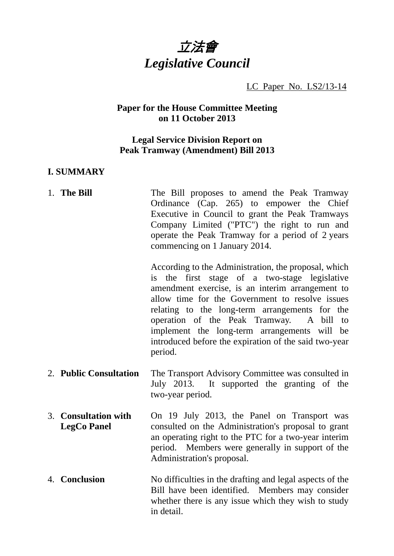

LC Paper No. LS2/13-14

## **Paper for the House Committee Meeting on 11 October 2013**

## **Legal Service Division Report on Peak Tramway (Amendment) Bill 2013**

#### **I. SUMMARY**

1. **The Bill The Bill proposes to amend the Peak Tramway** Ordinance (Cap. 265) to empower the Chief Executive in Council to grant the Peak Tramways Company Limited ("PTC") the right to run and operate the Peak Tramway for a period of 2 years commencing on 1 January 2014.

> According to the Administration, the proposal, which is the first stage of a two-stage legislative amendment exercise, is an interim arrangement to allow time for the Government to resolve issues relating to the long-term arrangements for the operation of the Peak Tramway. A bill to implement the long-term arrangements will be introduced before the expiration of the said two-year period.

- 2. **Public Consultation** The Transport Advisory Committee was consulted in July 2013. It supported the granting of the two-year period.
- 3. **Consultation with LegCo Panel** On 19 July 2013, the Panel on Transport was consulted on the Administration's proposal to grant an operating right to the PTC for a two-year interim period. Members were generally in support of the Administration's proposal.
- 4. **Conclusion** No difficulties in the drafting and legal aspects of the Bill have been identified. Members may consider whether there is any issue which they wish to study in detail.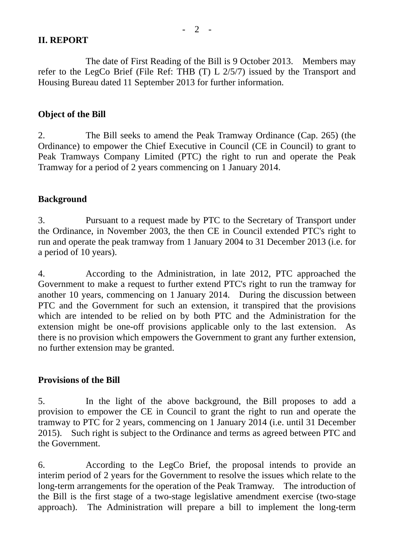## **II. REPORT**

The date of First Reading of the Bill is 9 October 2013. Members may refer to the LegCo Brief (File Ref: THB (T) L 2/5/7) issued by the Transport and Housing Bureau dated 11 September 2013 for further information.

## **Object of the Bill**

2. The Bill seeks to amend the Peak Tramway Ordinance (Cap. 265) (the Ordinance) to empower the Chief Executive in Council (CE in Council) to grant to Peak Tramways Company Limited (PTC) the right to run and operate the Peak Tramway for a period of 2 years commencing on 1 January 2014.

# **Background**

3. Pursuant to a request made by PTC to the Secretary of Transport under the Ordinance, in November 2003, the then CE in Council extended PTC's right to run and operate the peak tramway from 1 January 2004 to 31 December 2013 (i.e. for a period of 10 years).

4. According to the Administration, in late 2012, PTC approached the Government to make a request to further extend PTC's right to run the tramway for another 10 years, commencing on 1 January 2014. During the discussion between PTC and the Government for such an extension, it transpired that the provisions which are intended to be relied on by both PTC and the Administration for the extension might be one-off provisions applicable only to the last extension. As there is no provision which empowers the Government to grant any further extension, no further extension may be granted.

## **Provisions of the Bill**

5. In the light of the above background, the Bill proposes to add a provision to empower the CE in Council to grant the right to run and operate the tramway to PTC for 2 years, commencing on 1 January 2014 (i.e. until 31 December 2015). Such right is subject to the Ordinance and terms as agreed between PTC and the Government.

6. According to the LegCo Brief, the proposal intends to provide an interim period of 2 years for the Government to resolve the issues which relate to the long-term arrangements for the operation of the Peak Tramway. The introduction of the Bill is the first stage of a two-stage legislative amendment exercise (two-stage approach). The Administration will prepare a bill to implement the long-term